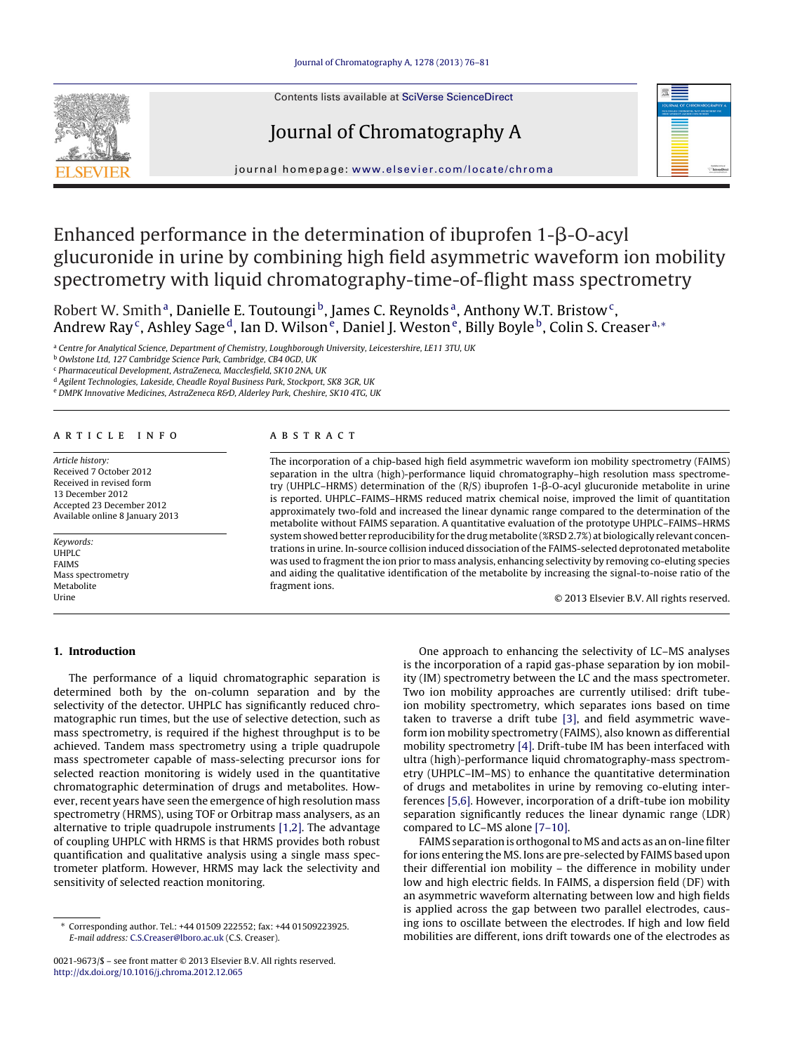Contents lists available at SciVerse [ScienceDirect](http://www.sciencedirect.com/science/journal/00219673)

Journal of Chromatography A



iournal homepage: [www.elsevier.com/locate/chroma](http://www.elsevier.com/locate/chroma)

# Enhanced performance in the determination of ibuprofen 1- $\beta$ -O-acyl glucuronide in urine by combining high field asymmetric waveform ion mobility spectrometry with liquid chromatography-time-of-flight mass spectrometry

Robert W. Smith<sup>a</sup>, Danielle E. Toutoungi<sup>b</sup>, James C. Reynolds<sup>a</sup>, Anthony W.T. Bristow<sup>c</sup>, Andrew Ray<sup>c</sup>, Ashley Sage<sup>d</sup>, Ian D. Wilson<sup>e</sup>, Daniel J. Weston<sup>e</sup>, Billy Boyle<sup>b</sup>, Colin S. Creaser<sup>a,∗</sup>

<sup>a</sup> Centre for Analytical Science, Department of Chemistry, Loughborough University, Leicestershire, LE11 3TU, UK

<sup>c</sup> Pharmaceutical Development, AstraZeneca, Macclesfield, SK10 2NA, UK

<sup>d</sup> Agilent Technologies, Lakeside, Cheadle Royal Business Park, Stockport, SK8 3GR, UK

e DMPK Innovative Medicines, AstraZeneca R&D, Alderley Park, Cheshire, SK10 4TG, UK

# a r t i c l e i n f o

Article history: Received 7 October 2012 Received in revised form 13 December 2012 Accepted 23 December 2012 Available online 8 January 2013

Keywords: UHPLC FAIMS Mass spectrometry Metabolite Urine

# A B S T R A C T

The incorporation of a chip-based high field asymmetric waveform ion mobility spectrometry (FAIMS) separation in the ultra (high)-performance liquid chromatography–high resolution mass spectrometry (UHPLC–HRMS) determination of the (R/S) ibuprofen 1-β-O-acyl glucuronide metabolite in urine is reported. UHPLC–FAIMS–HRMS reduced matrix chemical noise, improved the limit of quantitation approximately two-fold and increased the linear dynamic range compared to the determination of the metabolite without FAIMS separation. A quantitative evaluation of the prototype UHPLC–FAIMS–HRMS system showed better reproducibility for the drug metabolite (%RSD 2.7%) at biologically relevant concentrations in urine. In-source collision induced dissociation of the FAIMS-selected deprotonated metabolite was used to fragment the ion prior to mass analysis, enhancing selectivity by removing co-eluting species and aiding the qualitative identification of the metabolite by increasing the signal-to-noise ratio of the fragment ions.

© 2013 Elsevier B.V. All rights reserved.

# **1. Introduction**

The performance of a liquid chromatographic separation is determined both by the on-column separation and by the selectivity of the detector. UHPLC has significantly reduced chromatographic run times, but the use of selective detection, such as mass spectrometry, is required if the highest throughput is to be achieved. Tandem mass spectrometry using a triple quadrupole mass spectrometer capable of mass-selecting precursor ions for selected reaction monitoring is widely used in the quantitative chromatographic determination of drugs and metabolites. However, recent years have seen the emergence of high resolution mass spectrometry (HRMS), using TOF or Orbitrap mass analysers, as an alternative to triple quadrupole instruments [\[1,2\].](#page-5-0) The advantage of coupling UHPLC with HRMS is that HRMS provides both robust quantification and qualitative analysis using a single mass spectrometer platform. However, HRMS may lack the selectivity and sensitivity of selected reaction monitoring.

One approach to enhancing the selectivity of LC–MS analyses is the incorporation of a rapid gas-phase separation by ion mobility (IM) spectrometry between the LC and the mass spectrometer. Two ion mobility approaches are currently utilised: drift tubeion mobility spectrometry, which separates ions based on time taken to traverse a drift tube [\[3\],](#page-5-0) and field asymmetric waveform ion mobility spectrometry (FAIMS), also known as differential mobility spectrometry [\[4\].](#page-5-0) Drift-tube IM has been interfaced with ultra (high)-performance liquid chromatography-mass spectrometry (UHPLC–IM–MS) to enhance the quantitative determination of drugs and metabolites in urine by removing co-eluting interferences [\[5,6\].](#page-5-0) However, incorporation of a drift-tube ion mobility separation significantly reduces the linear dynamic range (LDR) compared to LC–MS alone [\[7–10\].](#page-5-0)

FAIMS separation is orthogonal to MS and acts as an on-line filter for ions entering the MS. Ions are pre-selected by FAIMS based upon their differential ion mobility – the difference in mobility under low and high electric fields. In FAIMS, a dispersion field (DF) with an asymmetric waveform alternating between low and high fields is applied across the gap between two parallel electrodes, causing ions to oscillate between the electrodes. If high and low field mobilities are different, ions drift towards one of the electrodes as

<sup>b</sup> Owlstone Ltd, 127 Cambridge Science Park, Cambridge, CB4 0GD, UK

<sup>∗</sup> Corresponding author. Tel.: +44 01509 222552; fax: +44 01509223925. E-mail address: [C.S.Creaser@lboro.ac.uk](mailto:C.S.Creaser@lboro.ac.uk) (C.S. Creaser).

<sup>0021-9673/\$</sup> – see front matter © 2013 Elsevier B.V. All rights reserved. [http://dx.doi.org/10.1016/j.chroma.2012.12.065](dx.doi.org/10.1016/j.chroma.2012.12.065)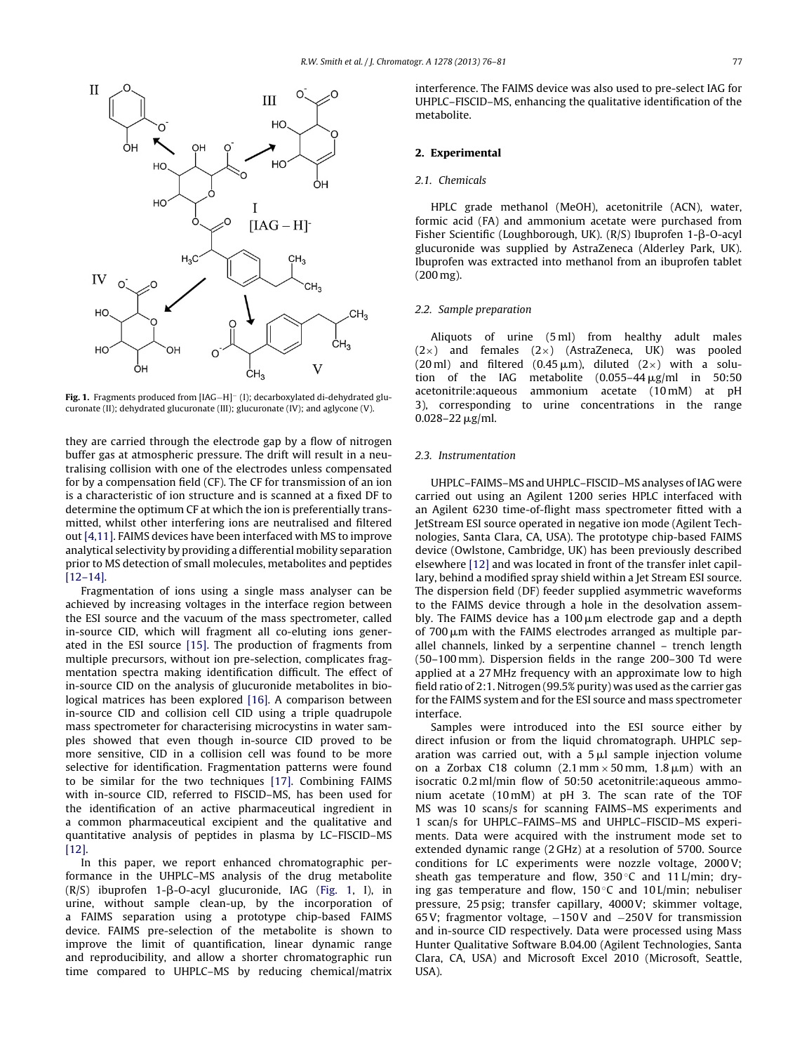<span id="page-1-0"></span>

**Fig. 1.** Fragments produced from [IAG−H]<sup>−</sup> (I); decarboxylated di-dehydrated glucuronate (II); dehydrated glucuronate (III); glucuronate (IV); and aglycone (V).

they are carried through the electrode gap by a flow of nitrogen buffer gas at atmospheric pressure. The drift will result in a neutralising collision with one of the electrodes unless compensated for by a compensation field (CF). The CF for transmission of an ion is a characteristic of ion structure and is scanned at a fixed DF to determine the optimum CF at which the ion is preferentially transmitted, whilst other interfering ions are neutralised and filtered out [\[4,11\].](#page-5-0) FAIMS devices have been interfaced with MS to improve analytical selectivity by providing a differential mobility separation prior to MS detection of small molecules, metabolites and peptides [\[12–14\].](#page-5-0)

Fragmentation of ions using a single mass analyser can be achieved by increasing voltages in the interface region between the ESI source and the vacuum of the mass spectrometer, called in-source CID, which will fragment all co-eluting ions generated in the ESI source [\[15\].](#page-5-0) The production of fragments from multiple precursors, without ion pre-selection, complicates fragmentation spectra making identification difficult. The effect of in-source CID on the analysis of glucuronide metabolites in biological matrices has been explored [\[16\].](#page-5-0) A comparison between in-source CID and collision cell CID using a triple quadrupole mass spectrometer for characterising microcystins in water samples showed that even though in-source CID proved to be more sensitive, CID in a collision cell was found to be more selective for identification. Fragmentation patterns were found to be similar for the two techniques [\[17\].](#page-5-0) Combining FAIMS with in-source CID, referred to FISCID–MS, has been used for the identification of an active pharmaceutical ingredient in a common pharmaceutical excipient and the qualitative and quantitative analysis of peptides in plasma by LC–FISCID–MS [\[12\].](#page-5-0)

In this paper, we report enhanced chromatographic performance in the UHPLC–MS analysis of the drug metabolite (R/S) ibuprofen 1-β-O-acyl glucuronide, IAG (Fig. 1, I), in urine, without sample clean-up, by the incorporation of a FAIMS separation using a prototype chip-based FAIMS device. FAIMS pre-selection of the metabolite is shown to improve the limit of quantification, linear dynamic range and reproducibility, and allow a shorter chromatographic run time compared to UHPLC–MS by reducing chemical/matrix interference. The FAIMS device was also used to pre-select IAG for UHPLC–FISCID–MS, enhancing the qualitative identification of the metabolite.

# **2. Experimental**

### 2.1. Chemicals

HPLC grade methanol (MeOH), acetonitrile (ACN), water, formic acid (FA) and ammonium acetate were purchased from Fisher Scientific (Loughborough, UK).  $(R/S)$  Ibuprofen 1- $\beta$ -O-acyl glucuronide was supplied by AstraZeneca (Alderley Park, UK). Ibuprofen was extracted into methanol from an ibuprofen tablet (200 mg).

# 2.2. Sample preparation

Aliquots of urine (5 ml) from healthy adult males  $(2\times)$  and females  $(2\times)$  (AstraZeneca, UK) was pooled (20 ml) and filtered (0.45  $\mu$ m), diluted (2×) with a solution of the IAG metabolite  $(0.055-44 \,\mu\text{g/ml}$  in 50:50 acetonitrile:aqueous ammonium acetate (10 mM) at pH 3), corresponding to urine concentrations in the range  $0.028 - 22 \,\mu g/ml$ .

#### 2.3. Instrumentation

UHPLC–FAIMS–MS and UHPLC–FISCID–MS analyses ofIAG were carried out using an Agilent 1200 series HPLC interfaced with an Agilent 6230 time-of-flight mass spectrometer fitted with a JetStream ESI source operated in negative ion mode (Agilent Technologies, Santa Clara, CA, USA). The prototype chip-based FAIMS device (Owlstone, Cambridge, UK) has been previously described elsewhere [\[12\]](#page-5-0) and was located in front of the transfer inlet capillary, behind a modified spray shield within a Jet Stream ESI source. The dispersion field (DF) feeder supplied asymmetric waveforms to the FAIMS device through a hole in the desolvation assembly. The FAIMS device has a  $100 \,\mu m$  electrode gap and a depth of  $700 \mu m$  with the FAIMS electrodes arranged as multiple parallel channels, linked by a serpentine channel – trench length (50–100 mm). Dispersion fields in the range 200–300 Td were applied at a 27 MHz frequency with an approximate low to high field ratio of 2:1. Nitrogen (99.5% purity) was used as the carrier gas for the FAIMS system and for the ESI source and mass spectrometer interface.

Samples were introduced into the ESI source either by direct infusion or from the liquid chromatograph. UHPLC separation was carried out, with a  $5 \mu l$  sample injection volume on a Zorbax C18 column (2.1 mm  $\times$  50 mm, 1.8  $\mu$ m) with an isocratic 0.2 ml/min flow of 50:50 acetonitrile:aqueous ammonium acetate (10 mM) at pH 3. The scan rate of the TOF MS was 10 scans/s for scanning FAIMS–MS experiments and 1 scan/s for UHPLC–FAIMS–MS and UHPLC–FISCID–MS experiments. Data were acquired with the instrument mode set to extended dynamic range (2 GHz) at a resolution of 5700. Source conditions for LC experiments were nozzle voltage, 2000V; sheath gas temperature and flow,  $350^{\circ}$ C and  $11$  L/min; drying gas temperature and flow,  $150^{\circ}$ C and  $10$  L/min; nebuliser pressure, 25 psig; transfer capillary, 4000V; skimmer voltage, 65V; fragmentor voltage, −150V and −250V for transmission and in-source CID respectively. Data were processed using Mass Hunter Qualitative Software B.04.00 (Agilent Technologies, Santa Clara, CA, USA) and Microsoft Excel 2010 (Microsoft, Seattle, USA).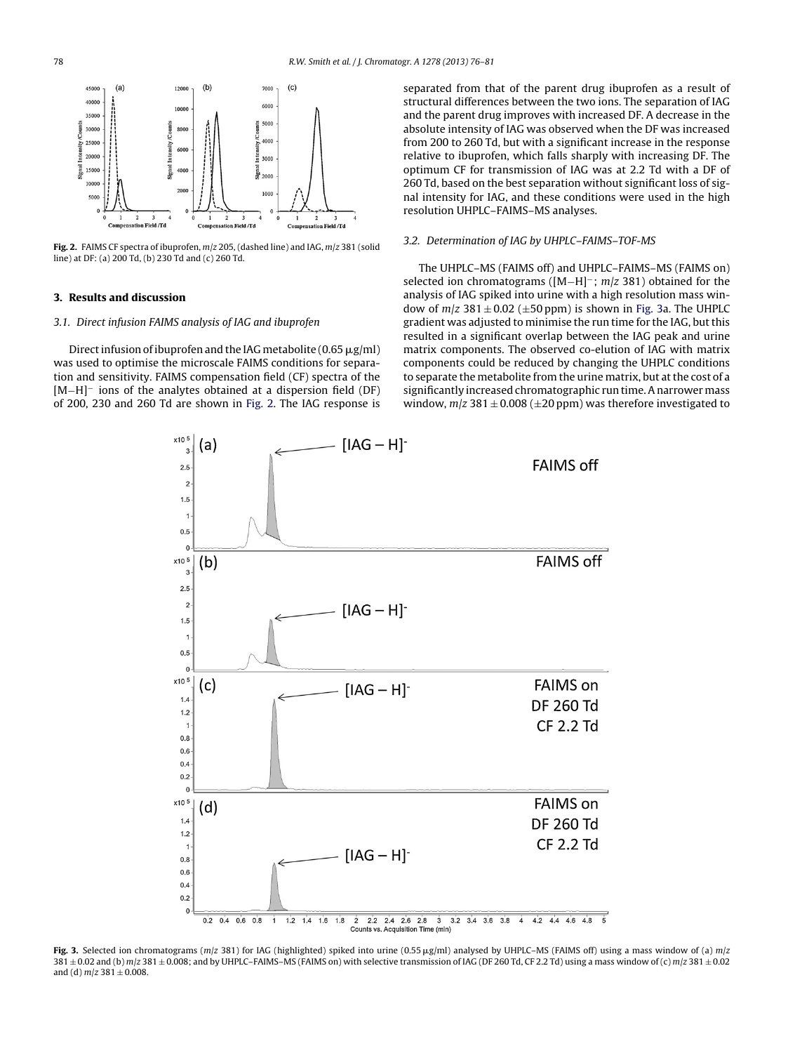<span id="page-2-0"></span>

**Fig. 2.** FAIMS CF spectra of ibuprofen, m/z 205, (dashed line) and IAG, m/z 381 (solid line) at DF: (a) 200 Td, (b) 230 Td and (c) 260 Td.

# **3. Results and discussion**

### 3.1. Direct infusion FAIMS analysis of IAG and ibuprofen

Direct infusion of ibuprofen and the IAG metabolite (0.65  $\mu$ g/ml) was used to optimise the microscale FAIMS conditions for separation and sensitivity. FAIMS compensation field (CF) spectra of the [M−H]<sup>–</sup> ions of the analytes obtained at a dispersion field (DF) of 200, 230 and 260 Td are shown in Fig. 2. The IAG response is separated from that of the parent drug ibuprofen as a result of structural differences between the two ions. The separation of IAG and the parent drug improves with increased DF. A decrease in the absolute intensity of IAG was observed when the DF was increased from 200 to 260 Td, but with a significant increase in the response relative to ibuprofen, which falls sharply with increasing DF. The optimum CF for transmission of IAG was at 2.2 Td with a DF of 260 Td, based on the best separation without significant loss of signal intensity for IAG, and these conditions were used in the high resolution UHPLC–FAIMS–MS analyses.

## 3.2. Determination of IAG by UHPLC–FAIMS–TOF-MS

The UHPLC–MS (FAIMS off) and UHPLC–FAIMS–MS (FAIMS on) selected ion chromatograms ([M−H]<sup>-</sup>; m/z 381) obtained for the analysis of IAG spiked into urine with a high resolution mass window of  $m/z$  381  $\pm$  0.02 ( $\pm$ 50 ppm) is shown in Fig. 3a. The UHPLC gradient was adjusted to minimise the run time for the IAG, but this resulted in a significant overlap between the IAG peak and urine matrix components. The observed co-elution of IAG with matrix components could be reduced by changing the UHPLC conditions to separate the metabolite from the urine matrix, but at the cost of a significantly increased chromatographic run time. A narrower mass window,  $m/z$  381  $\pm$  0.008 ( $\pm$ 20 ppm) was therefore investigated to



Fig. 3. Selected ion chromatograms ( $m/z$  381) for IAG (highlighted) spiked into urine (0.55  $\mu$ g/ml) analysed by UHPLC–MS (FAIMS off) using a mass window of (a)  $m/z$  $381 \pm 0.02$  and (b) m/z 381  $\pm$  0.008; and by UHPLC-FAIMS-MS (FAIMS on) with selective transmission of IAG (DF 260 Td, CF 2.2 Td) using a mass window of (c) m/z 381  $\pm$  0.02 and (d)  $m/z$  381  $\pm$  0.008.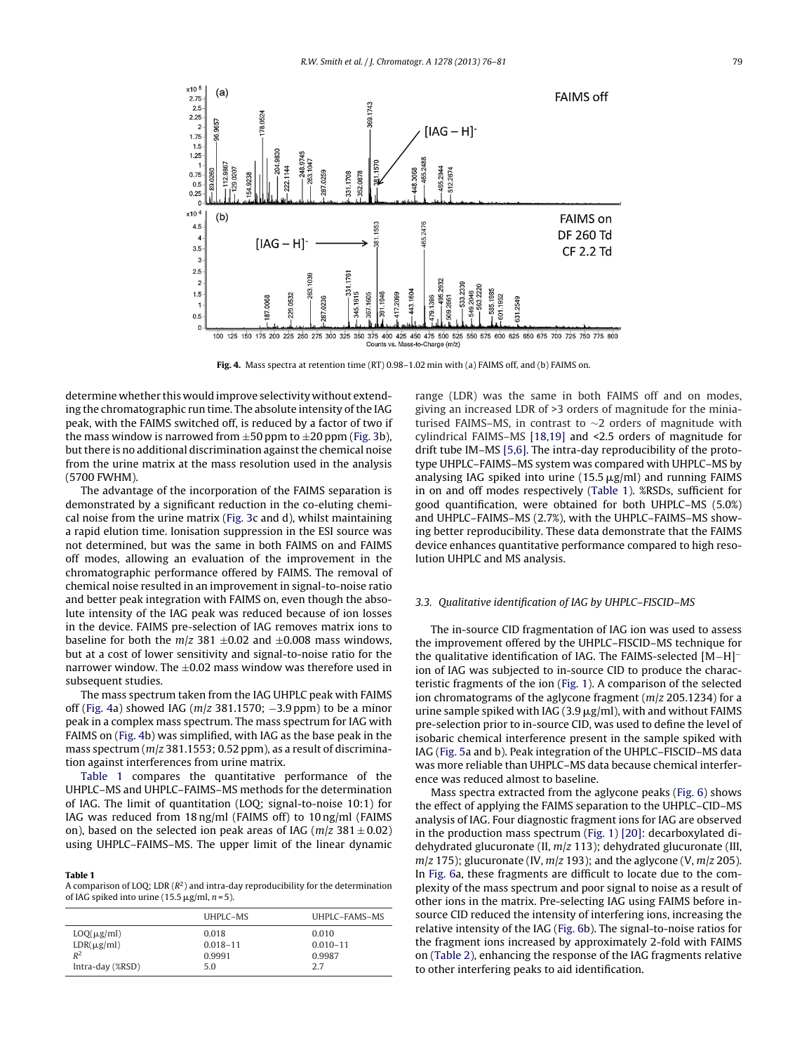

**Fig. 4.** Mass spectra at retention time (RT) 0.98–1.02 min with (a) FAIMS off, and (b) FAIMS on.

determine whether this would improve selectivity without extending the chromatographic run time. The absolute intensity of the IAG peak, with the FAIMS switched off, is reduced by a factor of two if the mass window is narrowed from  $\pm 50$  ppm to  $\pm 20$  ppm ([Fig.](#page-2-0) 3b), but there is no additional discrimination against the chemical noise from the urine matrix at the mass resolution used in the analysis (5700 FWHM).

The advantage of the incorporation of the FAIMS separation is demonstrated by a significant reduction in the co-eluting chemical noise from the urine matrix [\(Fig.](#page-2-0) 3c and d), whilst maintaining a rapid elution time. Ionisation suppression in the ESI source was not determined, but was the same in both FAIMS on and FAIMS off modes, allowing an evaluation of the improvement in the chromatographic performance offered by FAIMS. The removal of chemical noise resulted in an improvement in signal-to-noise ratio and better peak integration with FAIMS on, even though the absolute intensity of the IAG peak was reduced because of ion losses in the device. FAIMS pre-selection of IAG removes matrix ions to baseline for both the  $m/z$  381  $\pm$ 0.02 and  $\pm$ 0.008 mass windows, but at a cost of lower sensitivity and signal-to-noise ratio for the narrower window. The  $\pm 0.02$  mass window was therefore used in subsequent studies.

The mass spectrum taken from the IAG UHPLC peak with FAIMS off (Fig. 4a) showed IAG ( $m/z$  381.1570; -3.9 ppm) to be a minor peak in a complex mass spectrum. The mass spectrum for IAG with FAIMS on (Fig. 4b) was simplified, with IAG as the base peak in the mass spectrum ( $m/z$  381.1553; 0.52 ppm), as a result of discrimination against interferences from urine matrix.

Table 1 compares the quantitative performance of the UHPLC–MS and UHPLC–FAIMS–MS methods for the determination of IAG. The limit of quantitation (LOQ; signal-to-noise 10:1) for IAG was reduced from 18 ng/ml (FAIMS off) to 10 ng/ml (FAIMS on), based on the selected ion peak areas of IAG ( $m/z$  381  $\pm$  0.02) using UHPLC–FAIMS–MS. The upper limit of the linear dynamic

#### **Table 1**

A comparison of LOQ; LDR  $(R^2)$  and intra-day reproducibility for the determination of IAG spiked into urine (15.5  $\mu$ g/ml, n = 5).

|                  | UHPLC-MS     | UHPLC-FAMS-MS |
|------------------|--------------|---------------|
| $LOQ(\mu g/ml)$  | 0.018        | 0.010         |
| $LDR(\mu g/ml)$  | $0.018 - 11$ | $0.010 - 11$  |
| $R^2$            | 0.9991       | 0.9987        |
| Intra-day (%RSD) | 5.0          | 2.7           |

range (LDR) was the same in both FAIMS off and on modes, giving an increased LDR of >3 orders of magnitude for the miniaturised FAIMS–MS, in contrast to ∼2 orders of magnitude with cylindrical FAIMS–MS [\[18,19\]](#page-5-0) and <2.5 orders of magnitude for drift tube IM–MS [\[5,6\].](#page-5-0) The intra-day reproducibility of the prototype UHPLC–FAIMS–MS system was compared with UHPLC–MS by analysing IAG spiked into urine  $(15.5 \,\mu g/ml)$  and running FAIMS in on and off modes respectively (Table 1). %RSDs, sufficient for good quantification, were obtained for both UHPLC–MS (5.0%) and UHPLC–FAIMS–MS (2.7%), with the UHPLC–FAIMS–MS showing better reproducibility. These data demonstrate that the FAIMS device enhances quantitative performance compared to high resolution UHPLC and MS analysis.

# 3.3. Qualitative identification of IAG by UHPLC–FISCID–MS

The in-source CID fragmentation of IAG ion was used to assess the improvement offered by the UHPLC–FISCID–MS technique for the qualitative identification of IAG. The FAIMS-selected [M−H]<sup>−</sup> ion of IAG was subjected to in-source CID to produce the characteristic fragments of the ion [\(Fig.](#page-1-0) 1). A comparison of the selected ion chromatograms of the aglycone fragment ( $m/z$  205.1234) for a urine sample spiked with IAG (3.9  $\mu$ g/ml), with and without FAIMS pre-selection prior to in-source CID, was used to define the level of isobaric chemical interference present in the sample spiked with IAG [\(Fig.](#page-4-0) 5a and b). Peak integration of the UHPLC–FISCID–MS data was more reliable than UHPLC–MS data because chemical interference was reduced almost to baseline.

Mass spectra extracted from the aglycone peaks [\(Fig.](#page-4-0) 6) shows the effect of applying the FAIMS separation to the UHPLC–CID–MS analysis of IAG. Four diagnostic fragment ions for IAG are observed in the production mass spectrum [\(Fig.](#page-1-0) 1) [\[20\]:](#page-5-0) decarboxylated didehydrated glucuronate (II,  $m/z$  113); dehydrated glucuronate (III,  $m/z$  175); glucuronate (IV,  $m/z$  193); and the aglycone (V,  $m/z$  205). In [Fig.](#page-4-0) 6a, these fragments are difficult to locate due to the complexity of the mass spectrum and poor signal to noise as a result of other ions in the matrix. Pre-selecting IAG using FAIMS before insource CID reduced the intensity of interfering ions, increasing the relative intensity of the IAG [\(Fig.](#page-4-0) 6b). The signal-to-noise ratios for the fragment ions increased by approximately 2-fold with FAIMS on [\(Table](#page-4-0) 2), enhancing the response of the IAG fragments relative to other interfering peaks to aid identification.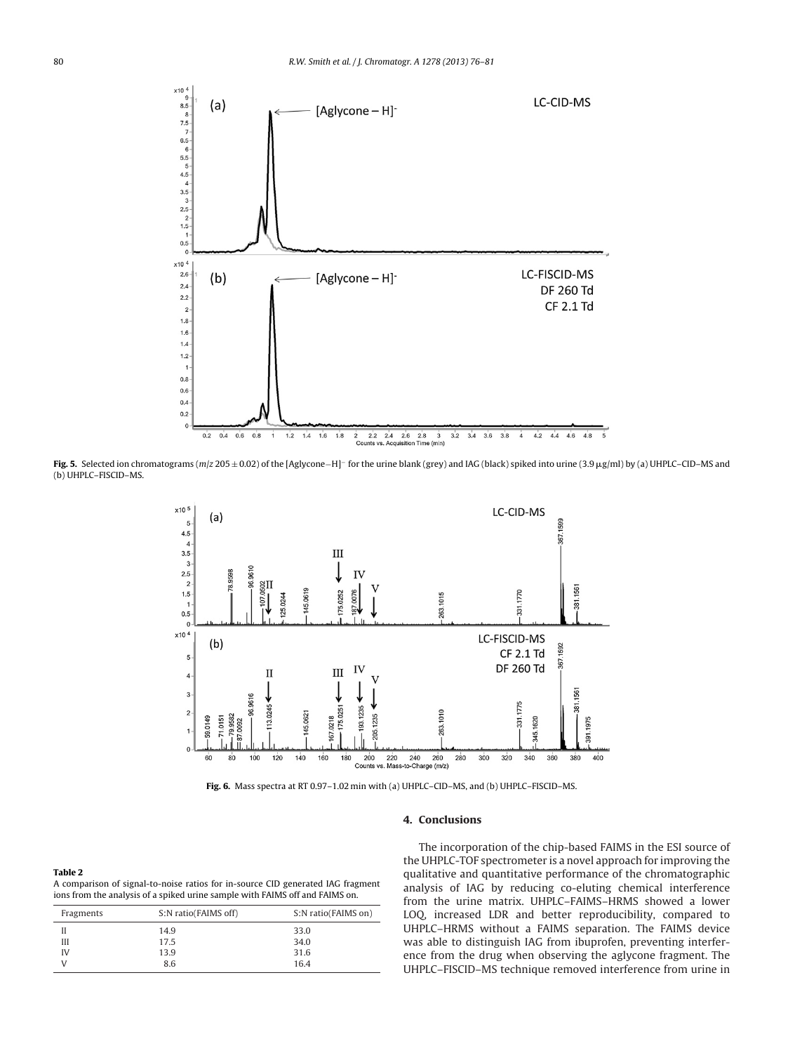<span id="page-4-0"></span>

**Fig. 5.** Selected ion chromatograms (m/z 205 ± 0.02) of the [Aglycone−H]<sup>−</sup> for the urine blank (grey) and IAG (black) spiked into urine (3.9 g/ml) by (a) UHPLC–CID–MS and (b) UHPLC–FISCID–MS.



**Fig. 6.** Mass spectra at RT 0.97–1.02 min with (a) UHPLC–CID–MS, and (b) UHPLC–FISCID–MS.

# **4. Conclusions**

| Table 2                                                                         |
|---------------------------------------------------------------------------------|
| A comparison of signal-to-noise ratios for in-source CID generated IAG fragment |
| ions from the analysis of a spiked urine sample with FAIMS off and FAIMS on.    |

| Fragments | S:N ratio(FAIMS off) | S:N ratio(FAIMS on) |
|-----------|----------------------|---------------------|
|           | 14.9                 | 33.0                |
| Ш         | 17.5                 | 34.0                |
| IV        | 13.9                 | 31.6                |
|           | 8.6                  | 16.4                |

The incorporation of the chip-based FAIMS in the ESI source of the UHPLC-TOF spectrometer is a novel approach for improving the qualitative and quantitative performance of the chromatographic analysis of IAG by reducing co-eluting chemical interference from the urine matrix. UHPLC–FAIMS–HRMS showed a lower LOQ, increased LDR and better reproducibility, compared to UHPLC–HRMS without a FAIMS separation. The FAIMS device was able to distinguish IAG from ibuprofen, preventing interference from the drug when observing the aglycone fragment. The UHPLC–FISCID–MS technique removed interference from urine in